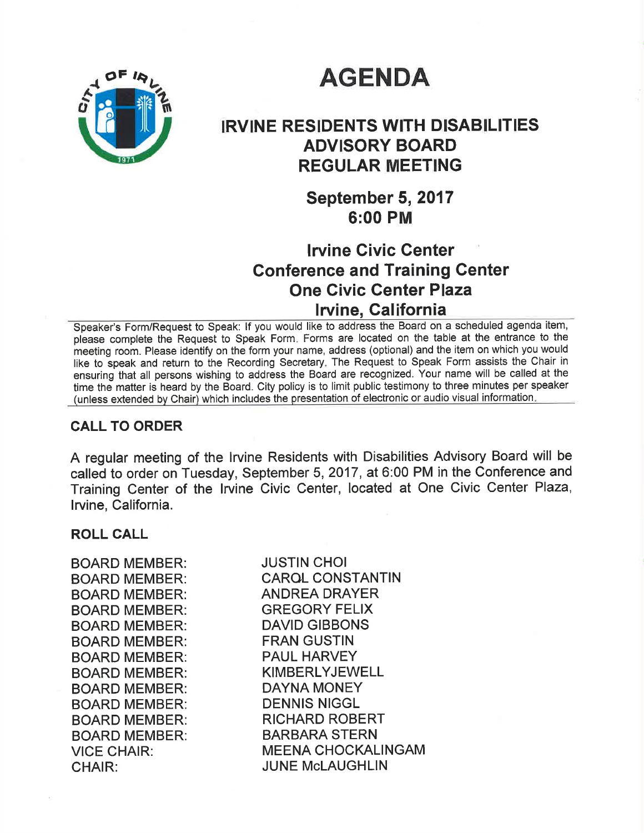# **AGENDA**



# IRVINE RESIDENTS WITH DISABILITIES ADVISORY BOARD REGULAR MEETING

September 5, 2017 6:00 PM

# lrvine Givic Center Gonference and Training Center One Civic Genter Plaza lrvine, Galifornia

Speaker's Form/Request to Speak: If you would like to address the Board on a scheduled agenda item, please complete the Request to Speak Form. Forms are located on the table at the entrance to the meeting room. Please identify on the form your name, address (optional) and the item on which you would like to speak and return to the Recording Secretary. The Request to Speak Form assists the Chair in ensuring that all persons wishing to address the Board are recognized. Your name will be called at the time the matter is heard by the Board. City policy is to limit public testimony to three minutes per speaker (unless extended by Chair) which includes the presentation of electronic or audio visual information

### CALL TO ORDER

A regular meeting of the Irvine Residents with Disabilities Advisory Board will be called to order on Tuesday, September 5,2017, at 6:00 PM in the Conference and Training Center of the lrvine Civic Center, located at One Civic Center Plaza, lrvine, California.

### ROLL CALL

BOARD MEMBER: BOARD MEMBER: BOARD MEMBER: BOARD MEMBER: BOARD MEMBER: BOARD MEMBER: BOARD MEMBER: BOARD MEMBER: BOARD MEMBER: BOARD MEMBER: BOARD MEMBER: BOARD MEMBER: VICE CHAIR: CHAIR:

JUSTIN CHOI CAROL CONSTANTIN ANDREA DRAYER GREGORY FELIX DAVID GIBBONS FRAN GUSTIN PAUL HARVEY KIMBERLYJEWELL DAYNA MONEY DENNIS NIGGL RICHARD ROBERT BARBARA STERN MEENA CHOCKALINGAM **JUNE MCLAUGHLIN**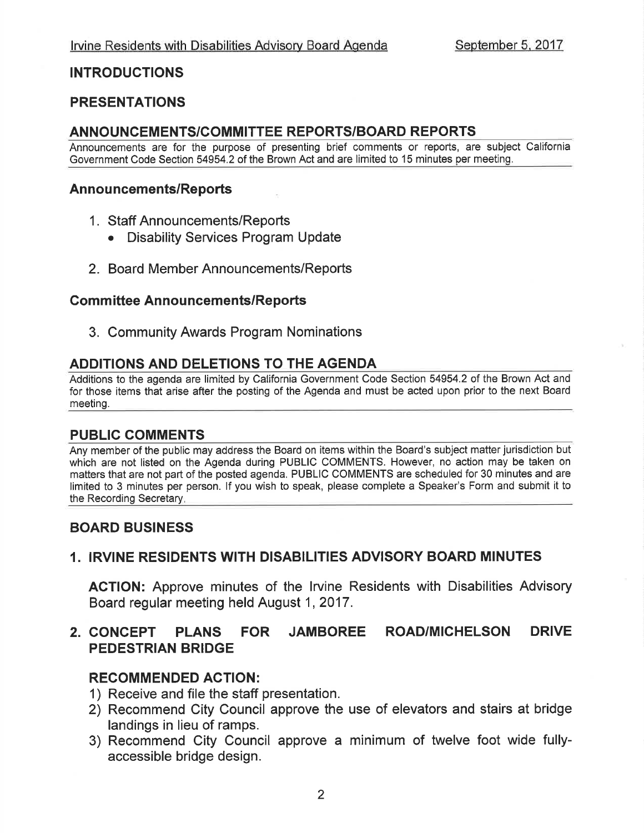### INTRODUCTIONS

### PRESENTATIONS

### AN NOU NCEM ENTS/COMM ITTEE REPORTS/BOARD REPORTS

Announcements are for the purpose of presenting brief comments or reports, are subject California Government Code Section 54954.2 of the Brown Act and are limited to 15 minutes per meeting.

#### Announcements/Reports

- <sup>1</sup>. Staff Announcements/Reports
	- . Disability Services Program Update
- 2. Board Member Announcements/Reports

#### **Committee Announcements/Reports**

3. Community Awards Program Nominations

### ADDITIONS AND DELETIONS TO THE AGENDA

Additions to the agenda are limited by California Government Code Section 54954.2 of the Brown Act and for those items that arise after the posting of the Agenda and must be acted upon prior to the next Board meeting.

### PUBLIG COMMENTS

Any member of the public may address the Board on items within the Board's subject matter jurisdiction but which are not listed on the Agenda during PUBLIC COMMENTS. However, no action may be taken on matters that are not part of the posted agenda. PUBLIC COMMENTS are scheduled for 30 minutes and are limited to 3 minutes per person. lf you wish to speak, please complete a Speaker's Form and submit it to the Recording Secretary.

### BOARD BUSINESS

### 1. IRVINE RESIDENTS WITH DISABILITIES ADVISORY BOARD MINUTES

ACTION: Approve minutes of the lrvine Residents with Disabilities Advisory Board regular meeting held August 1,2017.

### 2. CONCEPT PLANS FOR JAMBOREE ROAD/MICHELSON DRIVE PEDESTRIAN BRIDGE

### RECOMMENDED ACTION:

- 1) Receive and file the staff presentation.
- 2) Recommend City Council approve the use of elevators and stairs at bridge landings in lieu of ramps.
- 3) Recommend City Council approve a minimum of twelve foot wide fullyaccessible bridge design.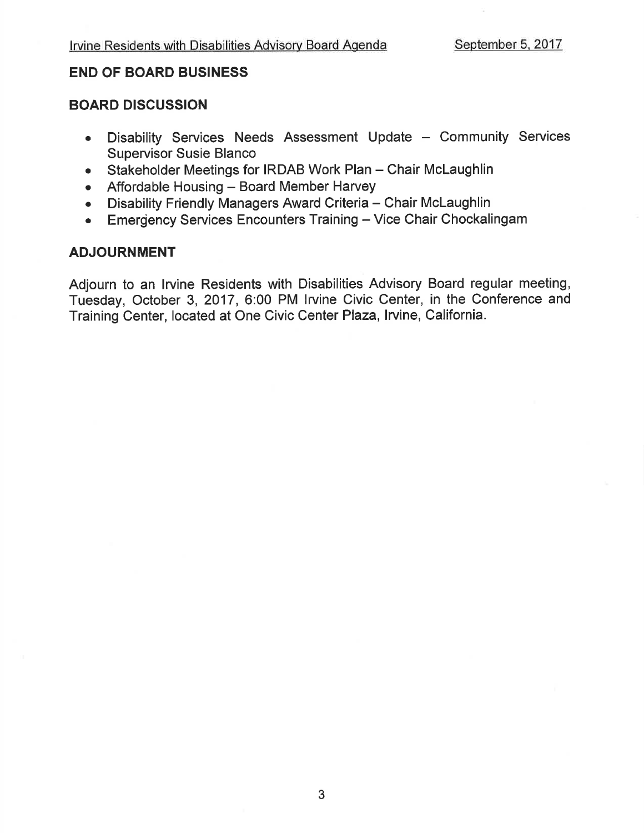### END OF BOARD BUSINESS

### BOARD DISCUSSION

- Disability Services Needs Assessment Update Community Services Supervisor Susie Blanco
- Stakeholder Meetings for IRDAB Work Plan Chair McLaughlin
- Affordable Housing Board Member Harvey<br>• Disability Friendly Managers Award Criteria –
- Disability Friendly Managers Award Criteria Chair McLaughlin<br>• Emergency Services Encounters Training Vice Chair Chockali
- Emergency Services Encounters Training Vice Chair Chockalingam

### ADJOURNMENT

Adjourn to an lrvine Residents with Disabilities Advisory Board regular meeting, Tuesday, October 3,2017, 6:00 PM lrvine Civic Center, in the Conference and Training Center, located at One Civic Center Plaza, Irvine, California.